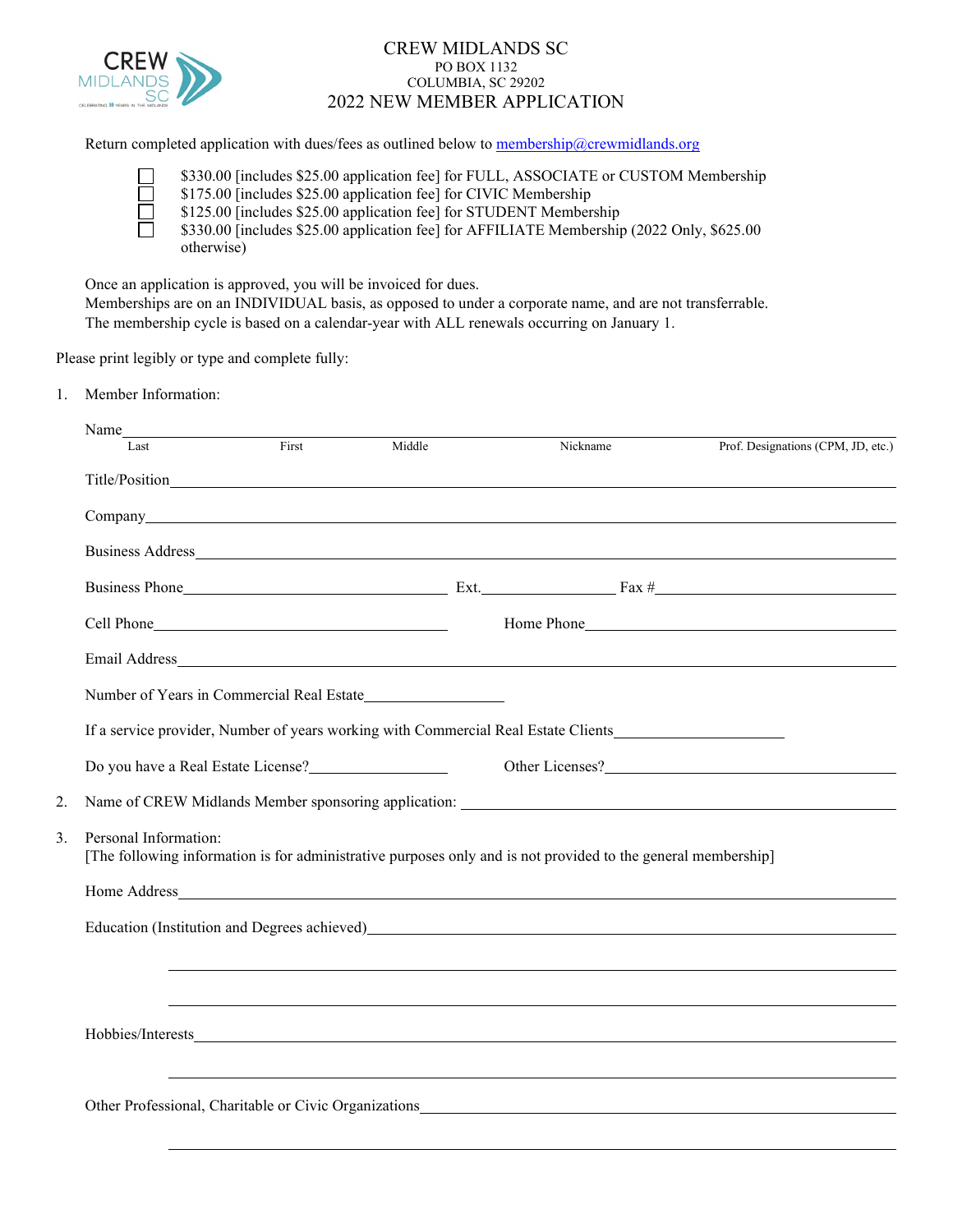

## CREW MIDLANDS SC PO BOX 1132 COLUMBIA, SC 29202 2022 NEW MEMBER APPLICATION

Return completed application with dues/fees as outlined below to [membership@crewmidlands.org](mailto:crewmidlandsmembership@gmail.com)

|        | \$330.00 [includes \$25.00 application fee] for FULL, ASSOCIATE or CUSTOM Membership      |
|--------|-------------------------------------------------------------------------------------------|
| $\Box$ | \$175.00 [includes \$25.00 application fee] for CIVIC Membership                          |
|        | \$125.00 [includes \$25.00 application fee] for STUDENT Membership                        |
|        | \$330.00 [includes \$25.00 application fee] for AFFILIATE Membership (2022 Only, \$625.00 |
|        | otherwise)                                                                                |

Once an application is approved, you will be invoiced for dues.

Memberships are on an INDIVIDUAL basis, as opposed to under a corporate name, and are not transferrable. The membership cycle is based on a calendar-year with ALL renewals occurring on January 1.

Please print legibly or type and complete fully:

1. Member Information:

| Last                        | First                                                                           | Middle | Nickname                                                                                                                                                                                                                       | Prof. Designations (CPM, JD, etc.)                                                                                                                                                                                             |
|-----------------------------|---------------------------------------------------------------------------------|--------|--------------------------------------------------------------------------------------------------------------------------------------------------------------------------------------------------------------------------------|--------------------------------------------------------------------------------------------------------------------------------------------------------------------------------------------------------------------------------|
|                             |                                                                                 |        |                                                                                                                                                                                                                                |                                                                                                                                                                                                                                |
|                             |                                                                                 |        | Company extension of the company of the company of the company of the company of the company of the company of the company of the company of the company of the company of the company of the company of the company of the co |                                                                                                                                                                                                                                |
|                             |                                                                                 |        |                                                                                                                                                                                                                                |                                                                                                                                                                                                                                |
|                             |                                                                                 |        |                                                                                                                                                                                                                                |                                                                                                                                                                                                                                |
|                             |                                                                                 |        |                                                                                                                                                                                                                                |                                                                                                                                                                                                                                |
|                             |                                                                                 |        |                                                                                                                                                                                                                                |                                                                                                                                                                                                                                |
|                             |                                                                                 |        |                                                                                                                                                                                                                                |                                                                                                                                                                                                                                |
|                             |                                                                                 |        | If a service provider, Number of years working with Commercial Real Estate Clients                                                                                                                                             |                                                                                                                                                                                                                                |
|                             | Do you have a Real Estate License?<br><u>Do you have a Real Estate License?</u> |        |                                                                                                                                                                                                                                | Other Licenses?                                                                                                                                                                                                                |
| 2.                          |                                                                                 |        |                                                                                                                                                                                                                                |                                                                                                                                                                                                                                |
| 3.<br>Personal Information: |                                                                                 |        | [The following information is for administrative purposes only and is not provided to the general membership]                                                                                                                  |                                                                                                                                                                                                                                |
|                             |                                                                                 |        |                                                                                                                                                                                                                                |                                                                                                                                                                                                                                |
|                             |                                                                                 |        |                                                                                                                                                                                                                                | Education (Institution and Degrees achieved) https://www.achieved.com/2010/01/2010 12:00:00 12:00:00 12:00:00 12:00:00 12:00:00 12:00:00 12:00:00 12:00:00 12:00:00 12:00:00 12:00:00 12:00:00 12:00:00 12:00:00 12:00:00 12:0 |
|                             |                                                                                 |        |                                                                                                                                                                                                                                |                                                                                                                                                                                                                                |
|                             |                                                                                 |        |                                                                                                                                                                                                                                |                                                                                                                                                                                                                                |
|                             |                                                                                 |        | Hobbies/Interests                                                                                                                                                                                                              |                                                                                                                                                                                                                                |
|                             |                                                                                 |        |                                                                                                                                                                                                                                |                                                                                                                                                                                                                                |
|                             |                                                                                 |        |                                                                                                                                                                                                                                |                                                                                                                                                                                                                                |
|                             |                                                                                 |        |                                                                                                                                                                                                                                |                                                                                                                                                                                                                                |